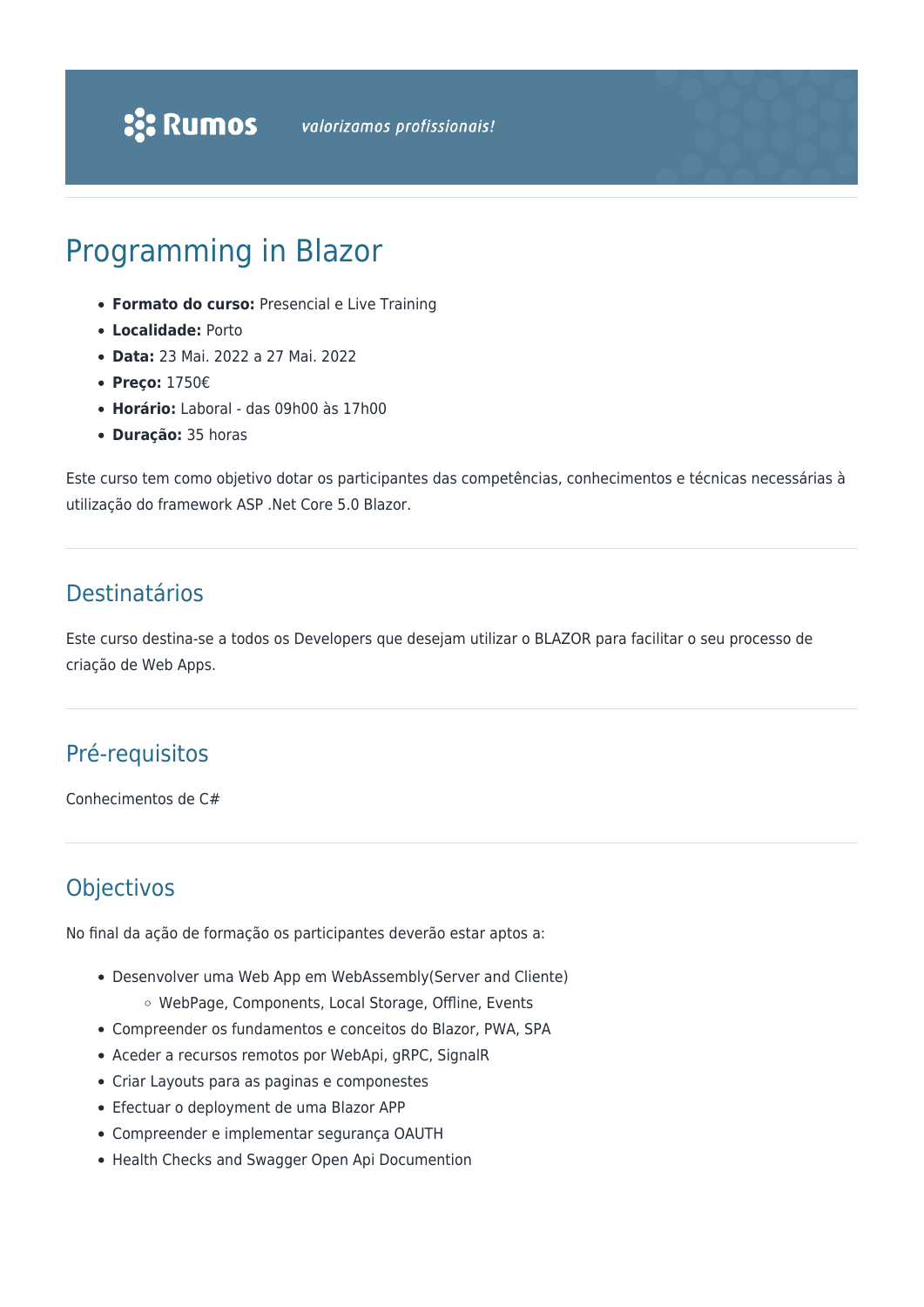# Programming in Blazor

- **Formato do curso:** Presencial e Live Training
- **Localidade:** Porto
- **Data:** 23 Mai. 2022 a 27 Mai. 2022
- **Preço:** 1750€
- **Horário:** Laboral das 09h00 às 17h00
- **Duração:** 35 horas

Este curso tem como objetivo dotar os participantes das competências, conhecimentos e técnicas necessárias à utilização do framework ASP .Net Core 5.0 Blazor.

### Destinatários

Este curso destina-se a todos os Developers que desejam utilizar o BLAZOR para facilitar o seu processo de criação de Web Apps.

### Pré-requisitos

Conhecimentos de C#

### **Objectivos**

No final da ação de formação os participantes deverão estar aptos a:

- Desenvolver uma Web App em WebAssembly(Server and Cliente)
	- WebPage, Components, Local Storage, Offline, Events
- Compreender os fundamentos e conceitos do Blazor, PWA, SPA
- Aceder a recursos remotos por WebApi, gRPC, SignalR
- Criar Layouts para as paginas e componestes
- Efectuar o deployment de uma Blazor APP
- Compreender e implementar segurança OAUTH
- Health Checks and Swagger Open Api Documention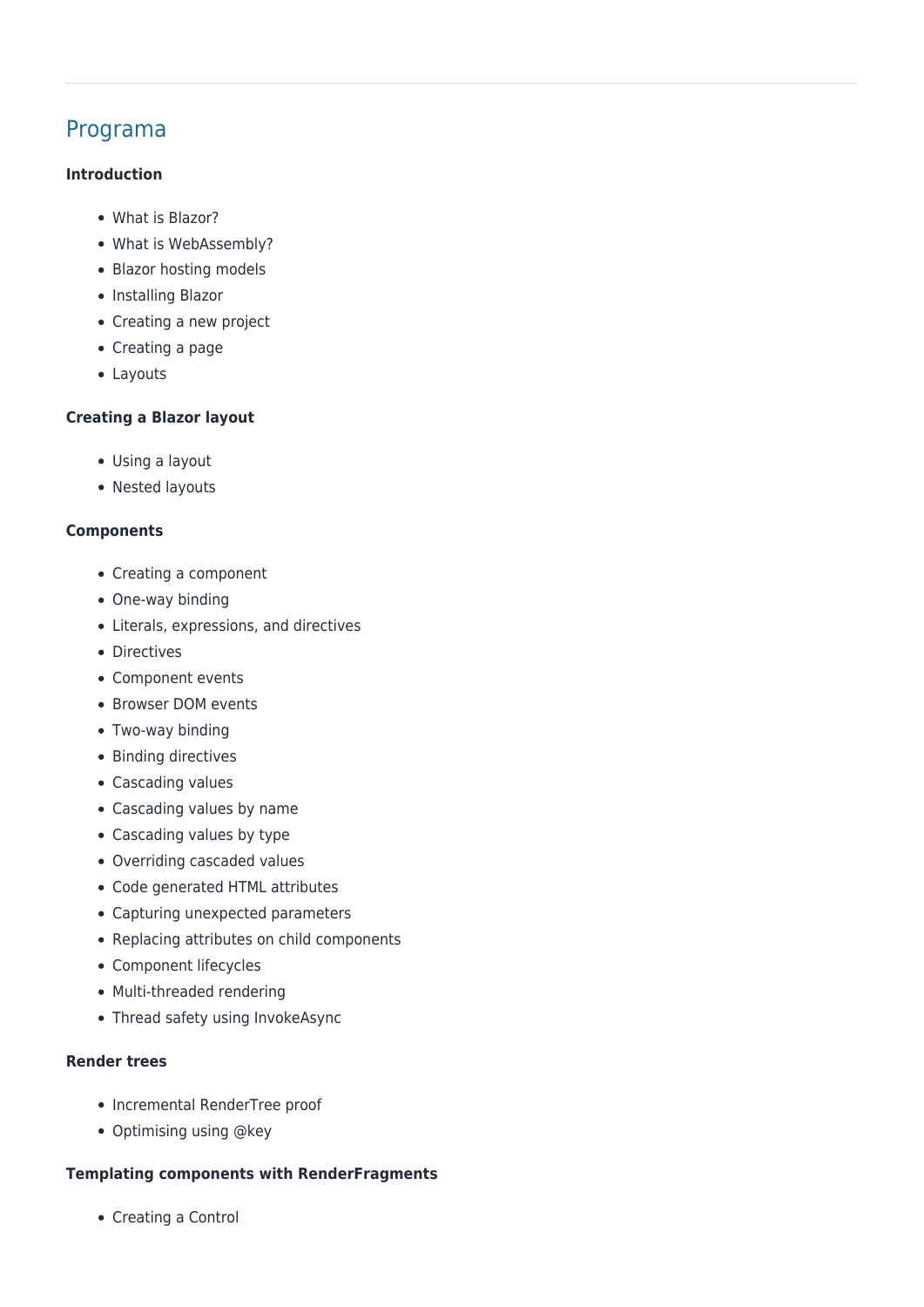## Programa

#### **Introduction**

- What is Blazor?
- What is WebAssembly?
- Blazor hosting models
- Installing Blazor
- Creating a new project
- Creating a page
- Layouts

#### **Creating a Blazor layout**

- Using a layout
- Nested lavouts

#### **Components**

- Creating a component
- One-way binding
- Literals, expressions, and directives
- Directives
- Component events
- Browser DOM events
- Two-way binding
- Binding directives
- Cascading values
- Cascading values by name
- Cascading values by type
- Overriding cascaded values
- Code generated HTML attributes
- Capturing unexpected parameters
- Replacing attributes on child components
- Component lifecycles
- Multi-threaded rendering
- Thread safety using InvokeAsync

#### **Render trees**

- Incremental RenderTree proof
- Optimising using @key

#### **Templating components with RenderFragments**

• Creating a Control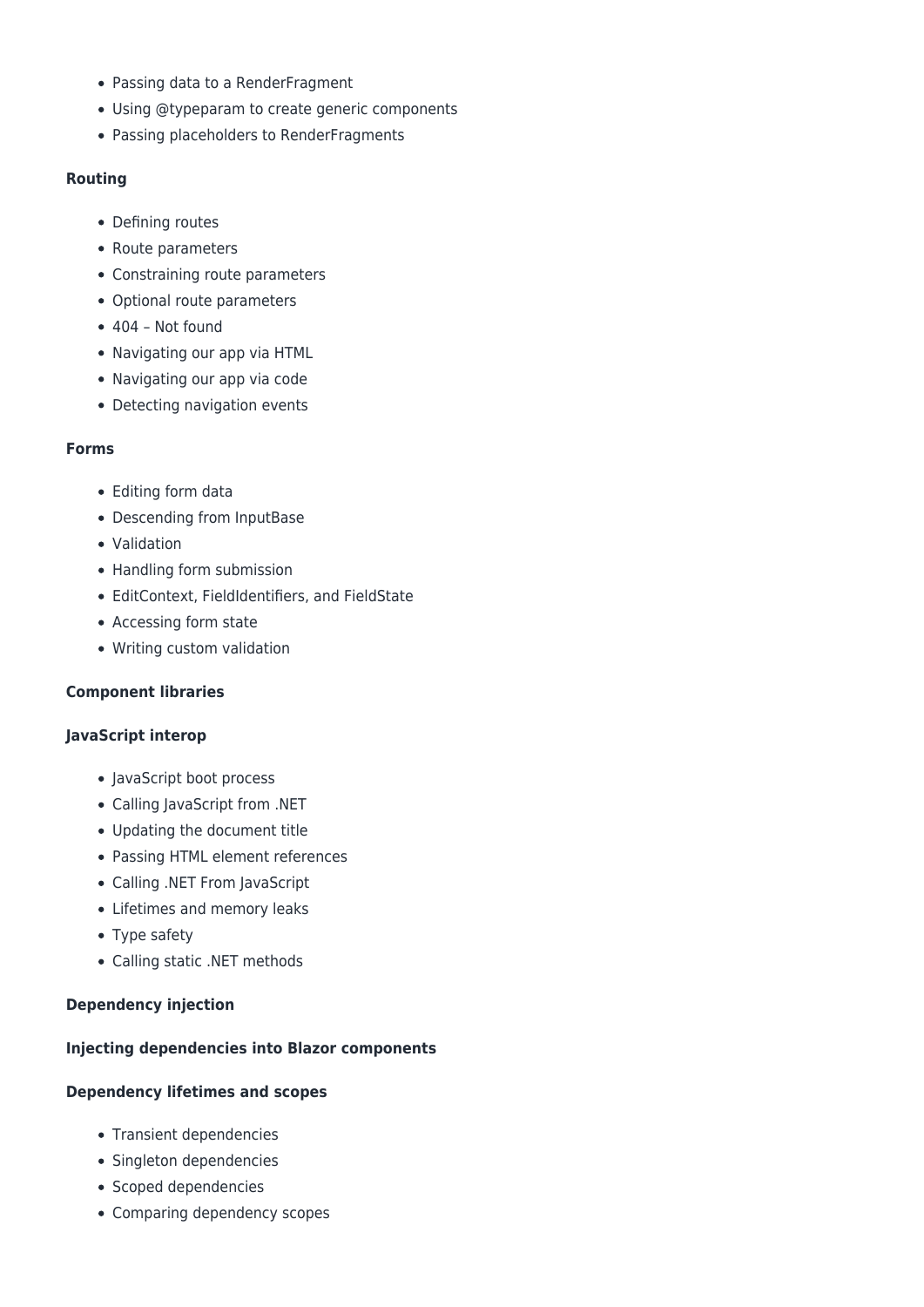- Passing data to a RenderFragment
- Using @typeparam to create generic components
- Passing placeholders to RenderFragments

#### **Routing**

- Defining routes
- Route parameters
- Constraining route parameters
- Optional route parameters
- 404 Not found
- Navigating our app via HTML
- Navigating our app via code
- Detecting navigation events

#### **Forms**

- Editing form data
- Descending from InputBase
- Validation
- Handling form submission
- EditContext, FieldIdentifiers, and FieldState
- Accessing form state
- Writing custom validation

#### **Component libraries**

#### **JavaScript interop**

- JavaScript boot process
- Calling JavaScript from .NET
- Updating the document title
- Passing HTML element references
- Calling .NET From JavaScript
- Lifetimes and memory leaks
- Type safety
- Calling static .NET methods

#### **Dependency injection**

#### **Injecting dependencies into Blazor components**

#### **Dependency lifetimes and scopes**

- Transient dependencies
- Singleton dependencies
- Scoped dependencies
- Comparing dependency scopes